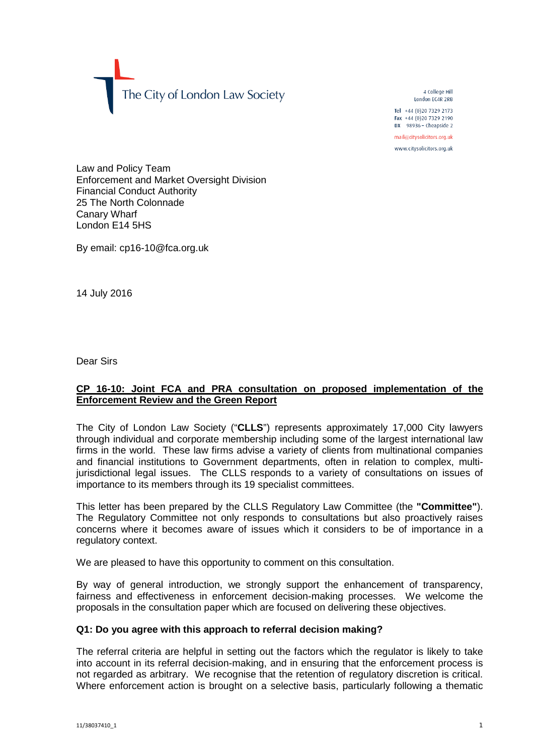The City of London Law Society

4 College Hill London FC4R 2RB

Tel +44 (0)20 7329 2173 Fax +44 (0)20 7329 2190 DX  $98936$  - Cheapside 2

mail@citysolicitors.org.uk

www.citysolicitors.org.uk

Law and Policy Team Enforcement and Market Oversight Division Financial Conduct Authority 25 The North Colonnade Canary Wharf London E14 5HS

By email: cp16-10@fca.org.uk

14 July 2016

Dear Sirs

## **CP 16-10: Joint FCA and PRA consultation on proposed implementation of the Enforcement Review and the Green Report**

The City of London Law Society ("**CLLS**") represents approximately 17,000 City lawyers through individual and corporate membership including some of the largest international law firms in the world. These law firms advise a variety of clients from multinational companies and financial institutions to Government departments, often in relation to complex, multijurisdictional legal issues. The CLLS responds to a variety of consultations on issues of importance to its members through its 19 specialist committees.

This letter has been prepared by the CLLS Regulatory Law Committee (the **"Committee"**). The Regulatory Committee not only responds to consultations but also proactively raises concerns where it becomes aware of issues which it considers to be of importance in a regulatory context.

We are pleased to have this opportunity to comment on this consultation.

By way of general introduction, we strongly support the enhancement of transparency, fairness and effectiveness in enforcement decision-making processes. We welcome the proposals in the consultation paper which are focused on delivering these objectives.

#### **Q1: Do you agree with this approach to referral decision making?**

The referral criteria are helpful in setting out the factors which the regulator is likely to take into account in its referral decision-making, and in ensuring that the enforcement process is not regarded as arbitrary. We recognise that the retention of regulatory discretion is critical. Where enforcement action is brought on a selective basis, particularly following a thematic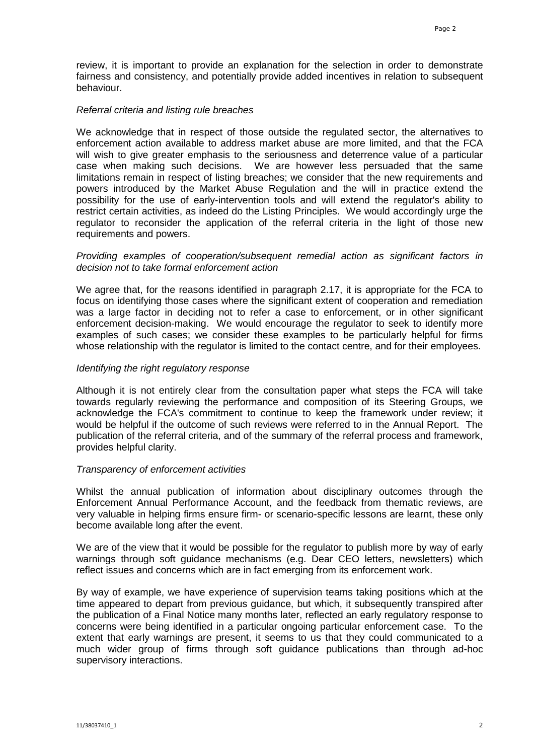review, it is important to provide an explanation for the selection in order to demonstrate fairness and consistency, and potentially provide added incentives in relation to subsequent behaviour.

#### *Referral criteria and listing rule breaches*

We acknowledge that in respect of those outside the regulated sector, the alternatives to enforcement action available to address market abuse are more limited, and that the FCA will wish to give greater emphasis to the seriousness and deterrence value of a particular case when making such decisions. We are however less persuaded that the same limitations remain in respect of listing breaches; we consider that the new requirements and powers introduced by the Market Abuse Regulation and the will in practice extend the possibility for the use of early-intervention tools and will extend the regulator's ability to restrict certain activities, as indeed do the Listing Principles. We would accordingly urge the regulator to reconsider the application of the referral criteria in the light of those new requirements and powers.

#### *Providing examples of cooperation/subsequent remedial action as significant factors in decision not to take formal enforcement action*

We agree that, for the reasons identified in paragraph 2.17, it is appropriate for the FCA to focus on identifying those cases where the significant extent of cooperation and remediation was a large factor in deciding not to refer a case to enforcement, or in other significant enforcement decision-making. We would encourage the regulator to seek to identify more examples of such cases; we consider these examples to be particularly helpful for firms whose relationship with the regulator is limited to the contact centre, and for their employees.

#### *Identifying the right regulatory response*

Although it is not entirely clear from the consultation paper what steps the FCA will take towards regularly reviewing the performance and composition of its Steering Groups, we acknowledge the FCA's commitment to continue to keep the framework under review; it would be helpful if the outcome of such reviews were referred to in the Annual Report. The publication of the referral criteria, and of the summary of the referral process and framework, provides helpful clarity.

#### *Transparency of enforcement activities*

Whilst the annual publication of information about disciplinary outcomes through the Enforcement Annual Performance Account, and the feedback from thematic reviews, are very valuable in helping firms ensure firm- or scenario-specific lessons are learnt, these only become available long after the event.

We are of the view that it would be possible for the regulator to publish more by way of early warnings through soft guidance mechanisms (e.g. Dear CEO letters, newsletters) which reflect issues and concerns which are in fact emerging from its enforcement work.

By way of example, we have experience of supervision teams taking positions which at the time appeared to depart from previous guidance, but which, it subsequently transpired after the publication of a Final Notice many months later, reflected an early regulatory response to concerns were being identified in a particular ongoing particular enforcement case. To the extent that early warnings are present, it seems to us that they could communicated to a much wider group of firms through soft guidance publications than through ad-hoc supervisory interactions.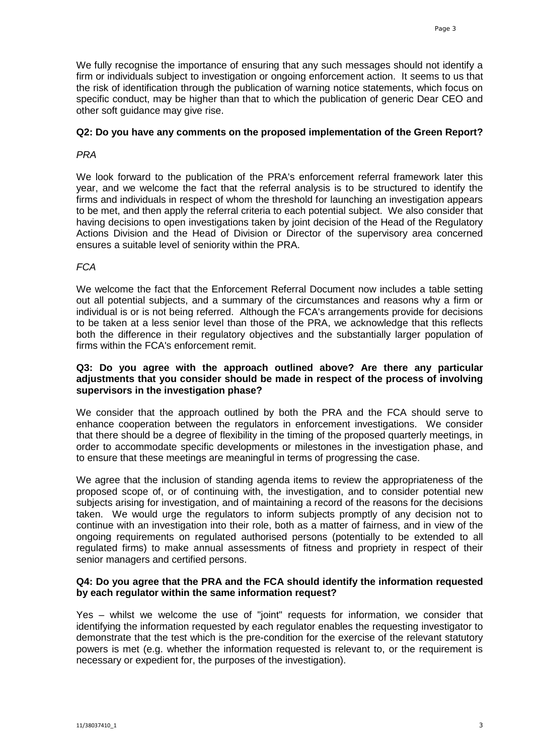We fully recognise the importance of ensuring that any such messages should not identify a firm or individuals subject to investigation or ongoing enforcement action. It seems to us that the risk of identification through the publication of warning notice statements, which focus on specific conduct, may be higher than that to which the publication of generic Dear CEO and other soft guidance may give rise.

## **Q2: Do you have any comments on the proposed implementation of the Green Report?**

## *PRA*

We look forward to the publication of the PRA's enforcement referral framework later this year, and we welcome the fact that the referral analysis is to be structured to identify the firms and individuals in respect of whom the threshold for launching an investigation appears to be met, and then apply the referral criteria to each potential subject. We also consider that having decisions to open investigations taken by joint decision of the Head of the Regulatory Actions Division and the Head of Division or Director of the supervisory area concerned ensures a suitable level of seniority within the PRA.

# *FCA*

We welcome the fact that the Enforcement Referral Document now includes a table setting out all potential subjects, and a summary of the circumstances and reasons why a firm or individual is or is not being referred. Although the FCA's arrangements provide for decisions to be taken at a less senior level than those of the PRA, we acknowledge that this reflects both the difference in their regulatory objectives and the substantially larger population of firms within the FCA's enforcement remit.

## **Q3: Do you agree with the approach outlined above? Are there any particular adjustments that you consider should be made in respect of the process of involving supervisors in the investigation phase?**

We consider that the approach outlined by both the PRA and the FCA should serve to enhance cooperation between the regulators in enforcement investigations. We consider that there should be a degree of flexibility in the timing of the proposed quarterly meetings, in order to accommodate specific developments or milestones in the investigation phase, and to ensure that these meetings are meaningful in terms of progressing the case.

We agree that the inclusion of standing agenda items to review the appropriateness of the proposed scope of, or of continuing with, the investigation, and to consider potential new subjects arising for investigation, and of maintaining a record of the reasons for the decisions taken. We would urge the regulators to inform subjects promptly of any decision not to continue with an investigation into their role, both as a matter of fairness, and in view of the ongoing requirements on regulated authorised persons (potentially to be extended to all regulated firms) to make annual assessments of fitness and propriety in respect of their senior managers and certified persons.

## **Q4: Do you agree that the PRA and the FCA should identify the information requested by each regulator within the same information request?**

Yes – whilst we welcome the use of "joint" requests for information, we consider that identifying the information requested by each regulator enables the requesting investigator to demonstrate that the test which is the pre-condition for the exercise of the relevant statutory powers is met (e.g. whether the information requested is relevant to, or the requirement is necessary or expedient for, the purposes of the investigation).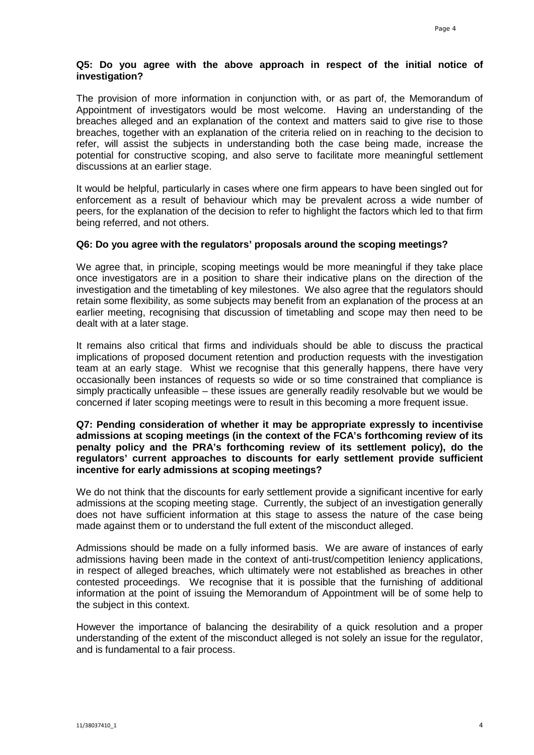# **Q5: Do you agree with the above approach in respect of the initial notice of investigation?**

The provision of more information in conjunction with, or as part of, the Memorandum of Appointment of investigators would be most welcome. Having an understanding of the breaches alleged and an explanation of the context and matters said to give rise to those breaches, together with an explanation of the criteria relied on in reaching to the decision to refer, will assist the subjects in understanding both the case being made, increase the potential for constructive scoping, and also serve to facilitate more meaningful settlement discussions at an earlier stage.

It would be helpful, particularly in cases where one firm appears to have been singled out for enforcement as a result of behaviour which may be prevalent across a wide number of peers, for the explanation of the decision to refer to highlight the factors which led to that firm being referred, and not others.

## **Q6: Do you agree with the regulators' proposals around the scoping meetings?**

We agree that, in principle, scoping meetings would be more meaningful if they take place once investigators are in a position to share their indicative plans on the direction of the investigation and the timetabling of key milestones. We also agree that the regulators should retain some flexibility, as some subjects may benefit from an explanation of the process at an earlier meeting, recognising that discussion of timetabling and scope may then need to be dealt with at a later stage.

It remains also critical that firms and individuals should be able to discuss the practical implications of proposed document retention and production requests with the investigation team at an early stage. Whist we recognise that this generally happens, there have very occasionally been instances of requests so wide or so time constrained that compliance is simply practically unfeasible – these issues are generally readily resolvable but we would be concerned if later scoping meetings were to result in this becoming a more frequent issue.

## **Q7: Pending consideration of whether it may be appropriate expressly to incentivise admissions at scoping meetings (in the context of the FCA's forthcoming review of its penalty policy and the PRA's forthcoming review of its settlement policy), do the regulators' current approaches to discounts for early settlement provide sufficient incentive for early admissions at scoping meetings?**

We do not think that the discounts for early settlement provide a significant incentive for early admissions at the scoping meeting stage. Currently, the subject of an investigation generally does not have sufficient information at this stage to assess the nature of the case being made against them or to understand the full extent of the misconduct alleged.

Admissions should be made on a fully informed basis. We are aware of instances of early admissions having been made in the context of anti-trust/competition leniency applications, in respect of alleged breaches, which ultimately were not established as breaches in other contested proceedings. We recognise that it is possible that the furnishing of additional information at the point of issuing the Memorandum of Appointment will be of some help to the subject in this context.

However the importance of balancing the desirability of a quick resolution and a proper understanding of the extent of the misconduct alleged is not solely an issue for the regulator, and is fundamental to a fair process.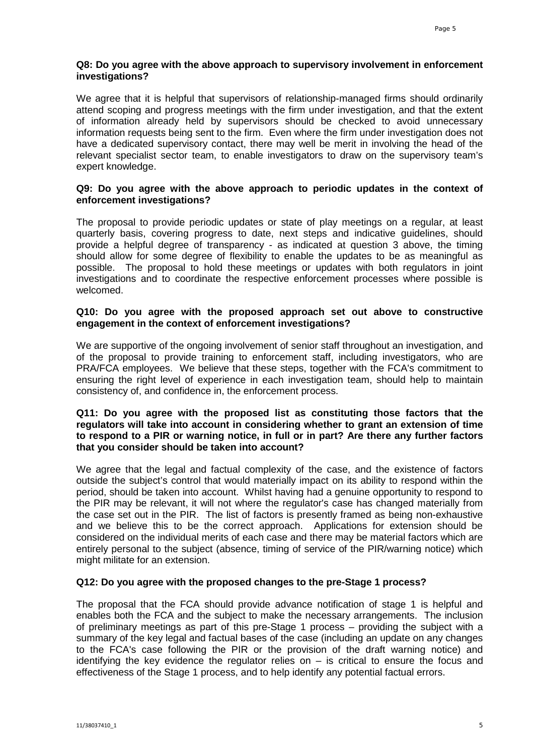## **Q8: Do you agree with the above approach to supervisory involvement in enforcement investigations?**

We agree that it is helpful that supervisors of relationship-managed firms should ordinarily attend scoping and progress meetings with the firm under investigation, and that the extent of information already held by supervisors should be checked to avoid unnecessary information requests being sent to the firm. Even where the firm under investigation does not have a dedicated supervisory contact, there may well be merit in involving the head of the relevant specialist sector team, to enable investigators to draw on the supervisory team's expert knowledge.

### **Q9: Do you agree with the above approach to periodic updates in the context of enforcement investigations?**

The proposal to provide periodic updates or state of play meetings on a regular, at least quarterly basis, covering progress to date, next steps and indicative guidelines, should provide a helpful degree of transparency - as indicated at question 3 above, the timing should allow for some degree of flexibility to enable the updates to be as meaningful as possible. The proposal to hold these meetings or updates with both regulators in joint investigations and to coordinate the respective enforcement processes where possible is welcomed.

## **Q10: Do you agree with the proposed approach set out above to constructive engagement in the context of enforcement investigations?**

We are supportive of the ongoing involvement of senior staff throughout an investigation, and of the proposal to provide training to enforcement staff, including investigators, who are PRA/FCA employees. We believe that these steps, together with the FCA's commitment to ensuring the right level of experience in each investigation team, should help to maintain consistency of, and confidence in, the enforcement process.

#### **Q11: Do you agree with the proposed list as constituting those factors that the regulators will take into account in considering whether to grant an extension of time to respond to a PIR or warning notice, in full or in part? Are there any further factors that you consider should be taken into account?**

We agree that the legal and factual complexity of the case, and the existence of factors outside the subject's control that would materially impact on its ability to respond within the period, should be taken into account. Whilst having had a genuine opportunity to respond to the PIR may be relevant, it will not where the regulator's case has changed materially from the case set out in the PIR. The list of factors is presently framed as being non-exhaustive and we believe this to be the correct approach. Applications for extension should be considered on the individual merits of each case and there may be material factors which are entirely personal to the subject (absence, timing of service of the PIR/warning notice) which might militate for an extension.

## **Q12: Do you agree with the proposed changes to the pre-Stage 1 process?**

The proposal that the FCA should provide advance notification of stage 1 is helpful and enables both the FCA and the subject to make the necessary arrangements. The inclusion of preliminary meetings as part of this pre-Stage 1 process – providing the subject with a summary of the key legal and factual bases of the case (including an update on any changes to the FCA's case following the PIR or the provision of the draft warning notice) and identifying the key evidence the regulator relies on  $-$  is critical to ensure the focus and effectiveness of the Stage 1 process, and to help identify any potential factual errors.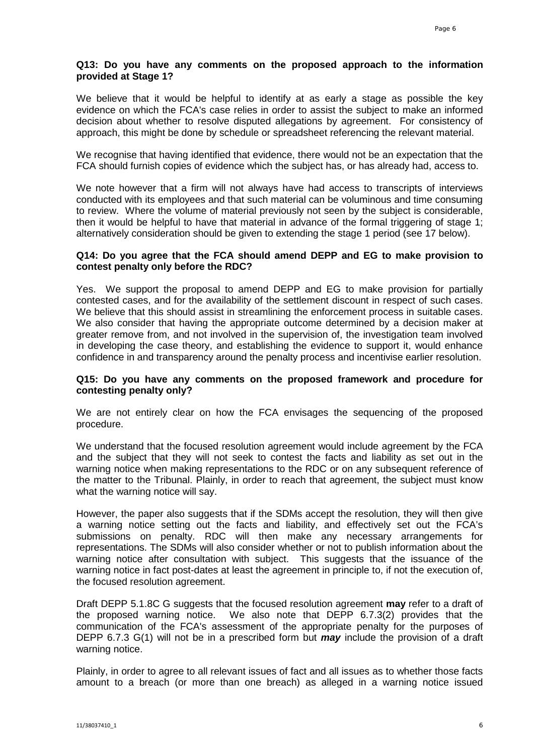## **Q13: Do you have any comments on the proposed approach to the information provided at Stage 1?**

We believe that it would be helpful to identify at as early a stage as possible the key evidence on which the FCA's case relies in order to assist the subject to make an informed decision about whether to resolve disputed allegations by agreement. For consistency of approach, this might be done by schedule or spreadsheet referencing the relevant material.

We recognise that having identified that evidence, there would not be an expectation that the FCA should furnish copies of evidence which the subject has, or has already had, access to.

We note however that a firm will not always have had access to transcripts of interviews conducted with its employees and that such material can be voluminous and time consuming to review. Where the volume of material previously not seen by the subject is considerable, then it would be helpful to have that material in advance of the formal triggering of stage 1; alternatively consideration should be given to extending the stage 1 period (see 17 below).

## **Q14: Do you agree that the FCA should amend DEPP and EG to make provision to contest penalty only before the RDC?**

Yes. We support the proposal to amend DEPP and EG to make provision for partially contested cases, and for the availability of the settlement discount in respect of such cases. We believe that this should assist in streamlining the enforcement process in suitable cases. We also consider that having the appropriate outcome determined by a decision maker at greater remove from, and not involved in the supervision of, the investigation team involved in developing the case theory, and establishing the evidence to support it, would enhance confidence in and transparency around the penalty process and incentivise earlier resolution.

## **Q15: Do you have any comments on the proposed framework and procedure for contesting penalty only?**

We are not entirely clear on how the FCA envisages the sequencing of the proposed procedure.

We understand that the focused resolution agreement would include agreement by the FCA and the subject that they will not seek to contest the facts and liability as set out in the warning notice when making representations to the RDC or on any subsequent reference of the matter to the Tribunal. Plainly, in order to reach that agreement, the subject must know what the warning notice will say.

However, the paper also suggests that if the SDMs accept the resolution, they will then give a warning notice setting out the facts and liability, and effectively set out the FCA's submissions on penalty. RDC will then make any necessary arrangements for representations. The SDMs will also consider whether or not to publish information about the warning notice after consultation with subject. This suggests that the issuance of the warning notice in fact post-dates at least the agreement in principle to, if not the execution of, the focused resolution agreement.

Draft DEPP 5.1.8C G suggests that the focused resolution agreement **may** refer to a draft of the proposed warning notice. We also note that DEPP 6.7.3(2) provides that the communication of the FCA's assessment of the appropriate penalty for the purposes of DEPP 6.7.3 G(1) will not be in a prescribed form but *may* include the provision of a draft warning notice.

Plainly, in order to agree to all relevant issues of fact and all issues as to whether those facts amount to a breach (or more than one breach) as alleged in a warning notice issued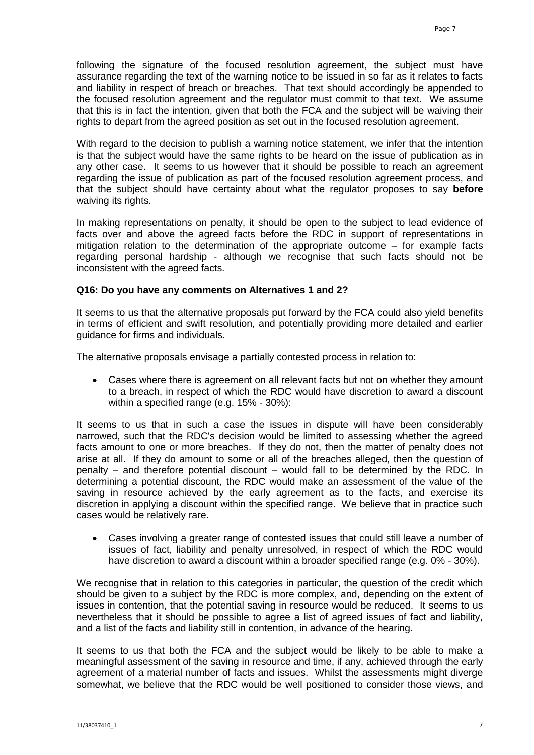following the signature of the focused resolution agreement, the subject must have assurance regarding the text of the warning notice to be issued in so far as it relates to facts and liability in respect of breach or breaches. That text should accordingly be appended to the focused resolution agreement and the regulator must commit to that text. We assume that this is in fact the intention, given that both the FCA and the subject will be waiving their rights to depart from the agreed position as set out in the focused resolution agreement.

With regard to the decision to publish a warning notice statement, we infer that the intention is that the subject would have the same rights to be heard on the issue of publication as in any other case. It seems to us however that it should be possible to reach an agreement regarding the issue of publication as part of the focused resolution agreement process, and that the subject should have certainty about what the regulator proposes to say **before** waiving its rights.

In making representations on penalty, it should be open to the subject to lead evidence of facts over and above the agreed facts before the RDC in support of representations in mitigation relation to the determination of the appropriate outcome – for example facts regarding personal hardship - although we recognise that such facts should not be inconsistent with the agreed facts.

## **Q16: Do you have any comments on Alternatives 1 and 2?**

It seems to us that the alternative proposals put forward by the FCA could also yield benefits in terms of efficient and swift resolution, and potentially providing more detailed and earlier guidance for firms and individuals.

The alternative proposals envisage a partially contested process in relation to:

• Cases where there is agreement on all relevant facts but not on whether they amount to a breach, in respect of which the RDC would have discretion to award a discount within a specified range (e.g. 15% - 30%):

It seems to us that in such a case the issues in dispute will have been considerably narrowed, such that the RDC's decision would be limited to assessing whether the agreed facts amount to one or more breaches. If they do not, then the matter of penalty does not arise at all. If they do amount to some or all of the breaches alleged, then the question of penalty – and therefore potential discount – would fall to be determined by the RDC. In determining a potential discount, the RDC would make an assessment of the value of the saving in resource achieved by the early agreement as to the facts, and exercise its discretion in applying a discount within the specified range. We believe that in practice such cases would be relatively rare.

• Cases involving a greater range of contested issues that could still leave a number of issues of fact, liability and penalty unresolved, in respect of which the RDC would have discretion to award a discount within a broader specified range (e.g. 0% - 30%).

We recognise that in relation to this categories in particular, the question of the credit which should be given to a subject by the RDC is more complex, and, depending on the extent of issues in contention, that the potential saving in resource would be reduced. It seems to us nevertheless that it should be possible to agree a list of agreed issues of fact and liability, and a list of the facts and liability still in contention, in advance of the hearing.

It seems to us that both the FCA and the subject would be likely to be able to make a meaningful assessment of the saving in resource and time, if any, achieved through the early agreement of a material number of facts and issues. Whilst the assessments might diverge somewhat, we believe that the RDC would be well positioned to consider those views, and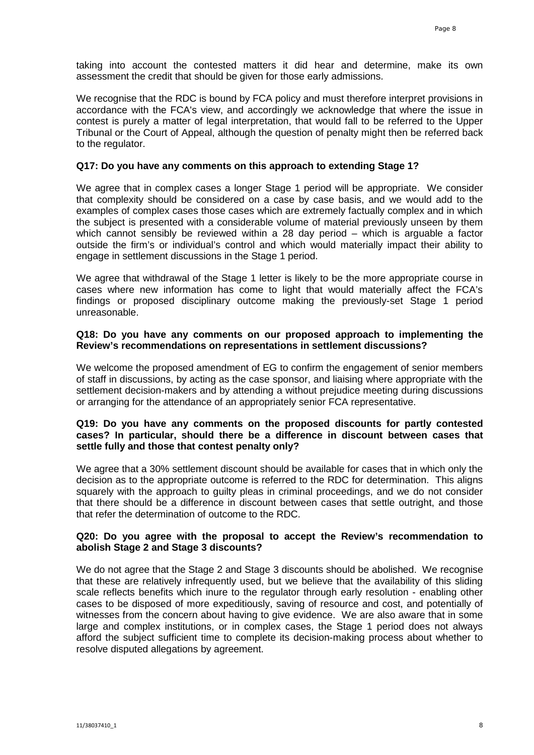taking into account the contested matters it did hear and determine, make its own assessment the credit that should be given for those early admissions.

We recognise that the RDC is bound by FCA policy and must therefore interpret provisions in accordance with the FCA's view, and accordingly we acknowledge that where the issue in contest is purely a matter of legal interpretation, that would fall to be referred to the Upper Tribunal or the Court of Appeal, although the question of penalty might then be referred back to the regulator.

### **Q17: Do you have any comments on this approach to extending Stage 1?**

We agree that in complex cases a longer Stage 1 period will be appropriate. We consider that complexity should be considered on a case by case basis, and we would add to the examples of complex cases those cases which are extremely factually complex and in which the subject is presented with a considerable volume of material previously unseen by them which cannot sensibly be reviewed within a 28 day period – which is arguable a factor outside the firm's or individual's control and which would materially impact their ability to engage in settlement discussions in the Stage 1 period.

We agree that withdrawal of the Stage 1 letter is likely to be the more appropriate course in cases where new information has come to light that would materially affect the FCA's findings or proposed disciplinary outcome making the previously-set Stage 1 period unreasonable.

## **Q18: Do you have any comments on our proposed approach to implementing the Review's recommendations on representations in settlement discussions?**

We welcome the proposed amendment of EG to confirm the engagement of senior members of staff in discussions, by acting as the case sponsor, and liaising where appropriate with the settlement decision-makers and by attending a without prejudice meeting during discussions or arranging for the attendance of an appropriately senior FCA representative.

#### **Q19: Do you have any comments on the proposed discounts for partly contested cases? In particular, should there be a difference in discount between cases that settle fully and those that contest penalty only?**

We agree that a 30% settlement discount should be available for cases that in which only the decision as to the appropriate outcome is referred to the RDC for determination. This aligns squarely with the approach to guilty pleas in criminal proceedings, and we do not consider that there should be a difference in discount between cases that settle outright, and those that refer the determination of outcome to the RDC.

#### **Q20: Do you agree with the proposal to accept the Review's recommendation to abolish Stage 2 and Stage 3 discounts?**

We do not agree that the Stage 2 and Stage 3 discounts should be abolished. We recognise that these are relatively infrequently used, but we believe that the availability of this sliding scale reflects benefits which inure to the regulator through early resolution - enabling other cases to be disposed of more expeditiously, saving of resource and cost, and potentially of witnesses from the concern about having to give evidence. We are also aware that in some large and complex institutions, or in complex cases, the Stage 1 period does not always afford the subject sufficient time to complete its decision-making process about whether to resolve disputed allegations by agreement.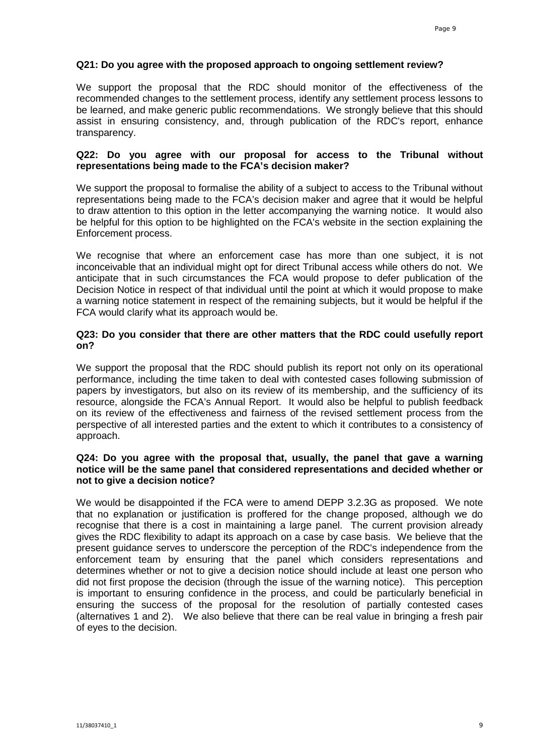## **Q21: Do you agree with the proposed approach to ongoing settlement review?**

We support the proposal that the RDC should monitor of the effectiveness of the recommended changes to the settlement process, identify any settlement process lessons to be learned, and make generic public recommendations. We strongly believe that this should assist in ensuring consistency, and, through publication of the RDC's report, enhance transparency.

## **Q22: Do you agree with our proposal for access to the Tribunal without representations being made to the FCA's decision maker?**

We support the proposal to formalise the ability of a subject to access to the Tribunal without representations being made to the FCA's decision maker and agree that it would be helpful to draw attention to this option in the letter accompanying the warning notice. It would also be helpful for this option to be highlighted on the FCA's website in the section explaining the Enforcement process.

We recognise that where an enforcement case has more than one subject, it is not inconceivable that an individual might opt for direct Tribunal access while others do not. We anticipate that in such circumstances the FCA would propose to defer publication of the Decision Notice in respect of that individual until the point at which it would propose to make a warning notice statement in respect of the remaining subjects, but it would be helpful if the FCA would clarify what its approach would be.

## **Q23: Do you consider that there are other matters that the RDC could usefully report on?**

We support the proposal that the RDC should publish its report not only on its operational performance, including the time taken to deal with contested cases following submission of papers by investigators, but also on its review of its membership, and the sufficiency of its resource, alongside the FCA's Annual Report. It would also be helpful to publish feedback on its review of the effectiveness and fairness of the revised settlement process from the perspective of all interested parties and the extent to which it contributes to a consistency of approach.

## **Q24: Do you agree with the proposal that, usually, the panel that gave a warning notice will be the same panel that considered representations and decided whether or not to give a decision notice?**

We would be disappointed if the FCA were to amend DEPP 3.2.3G as proposed. We note that no explanation or justification is proffered for the change proposed, although we do recognise that there is a cost in maintaining a large panel. The current provision already gives the RDC flexibility to adapt its approach on a case by case basis. We believe that the present guidance serves to underscore the perception of the RDC's independence from the enforcement team by ensuring that the panel which considers representations and determines whether or not to give a decision notice should include at least one person who did not first propose the decision (through the issue of the warning notice). This perception is important to ensuring confidence in the process, and could be particularly beneficial in ensuring the success of the proposal for the resolution of partially contested cases (alternatives 1 and 2). We also believe that there can be real value in bringing a fresh pair of eyes to the decision.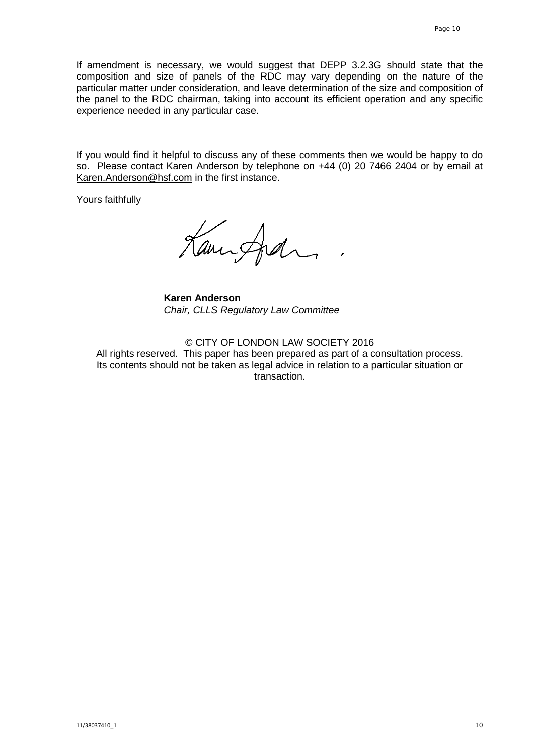If amendment is necessary, we would suggest that DEPP 3.2.3G should state that the composition and size of panels of the RDC may vary depending on the nature of the particular matter under consideration, and leave determination of the size and composition of the panel to the RDC chairman, taking into account its efficient operation and any specific experience needed in any particular case.

If you would find it helpful to discuss any of these comments then we would be happy to do so. Please contact Karen Anderson by telephone on +44 (0) 20 7466 2404 or by email at [Karen.Anderson@hsf.com](mailto:Karen.Anderson@hsf.com) in the first instance.

Yours faithfully

Kanisfedra

**Karen Anderson** *Chair, CLLS Regulatory Law Committee*

© CITY OF LONDON LAW SOCIETY 2016

All rights reserved. This paper has been prepared as part of a consultation process. Its contents should not be taken as legal advice in relation to a particular situation or transaction.